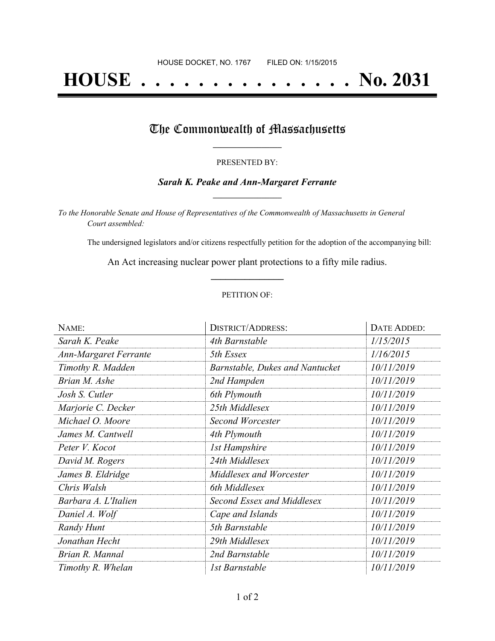# **HOUSE . . . . . . . . . . . . . . . No. 2031**

## The Commonwealth of Massachusetts

#### PRESENTED BY:

#### *Sarah K. Peake and Ann-Margaret Ferrante* **\_\_\_\_\_\_\_\_\_\_\_\_\_\_\_\_\_**

*To the Honorable Senate and House of Representatives of the Commonwealth of Massachusetts in General Court assembled:*

The undersigned legislators and/or citizens respectfully petition for the adoption of the accompanying bill:

An Act increasing nuclear power plant protections to a fifty mile radius. **\_\_\_\_\_\_\_\_\_\_\_\_\_\_\_**

#### PETITION OF:

| NAME:                        | <b>DISTRICT/ADDRESS:</b>               | <b>DATE ADDED:</b> |
|------------------------------|----------------------------------------|--------------------|
| Sarah K. Peake               | 4th Barnstable                         | 1/15/2015          |
| <b>Ann-Margaret Ferrante</b> | 5th Essex                              | 1/16/2015          |
| Timothy R. Madden            | <b>Barnstable, Dukes and Nantucket</b> | 10/11/2019         |
| Brian M. Ashe                | 2nd Hampden                            | 10/11/2019         |
| Josh S. Cutler               | 6th Plymouth                           | 10/11/2019         |
| Marjorie C. Decker           | 25th Middlesex                         | 10/11/2019         |
| Michael O. Moore             | Second Worcester                       | 10/11/2019         |
| James M. Cantwell            | 4th Plymouth                           | 10/11/2019         |
| Peter V. Kocot               | <b>1st Hampshire</b>                   | 10/11/2019         |
| David M. Rogers              | 24th Middlesex                         | 10/11/2019         |
| James B. Eldridge            | Middlesex and Worcester                | 10/11/2019         |
| Chris Walsh                  | 6th Middlesex                          | 10/11/2019         |
| Barbara A. L'Italien         | Second Essex and Middlesex             | 10/11/2019         |
| Daniel A. Wolf               | Cape and Islands                       | 10/11/2019         |
| Randy Hunt                   | 5th Barnstable                         | 10/11/2019         |
| Jonathan Hecht               | 29th Middlesex                         | 10/11/2019         |
| Brian R. Mannal              | 2nd Barnstable                         | 10/11/2019         |
| Timothy R. Whelan            | 1st Barnstable                         | 10/11/2019         |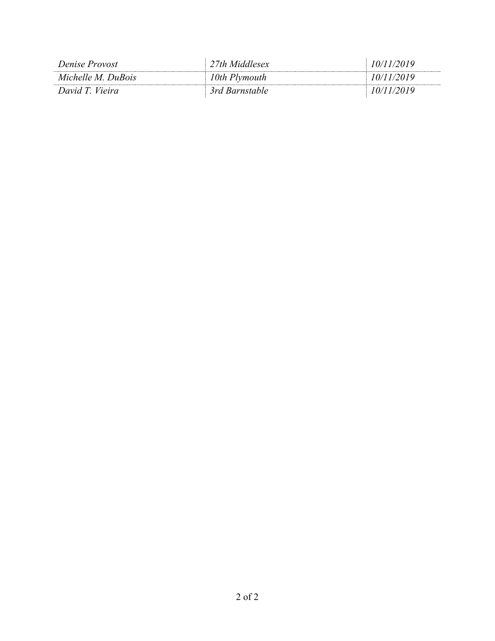| Denise Provost     | 27th Middlesex | 10/11/2019 |
|--------------------|----------------|------------|
| Michelle M. DuBois | 10th Plymouth  | 10/11/2019 |
| David T. Vieira    | 3rd Barnstable | 10/11/2019 |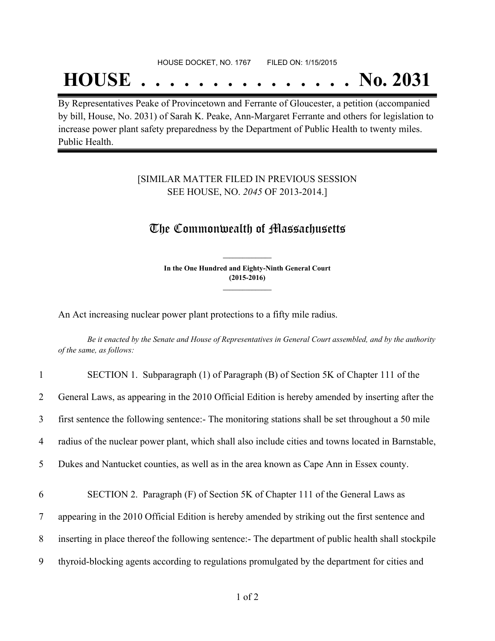#### HOUSE DOCKET, NO. 1767 FILED ON: 1/15/2015

## **HOUSE . . . . . . . . . . . . . . . No. 2031**

By Representatives Peake of Provincetown and Ferrante of Gloucester, a petition (accompanied by bill, House, No. 2031) of Sarah K. Peake, Ann-Margaret Ferrante and others for legislation to increase power plant safety preparedness by the Department of Public Health to twenty miles. Public Health.

#### [SIMILAR MATTER FILED IN PREVIOUS SESSION SEE HOUSE, NO. *2045* OF 2013-2014.]

### The Commonwealth of Massachusetts

**In the One Hundred and Eighty-Ninth General Court (2015-2016) \_\_\_\_\_\_\_\_\_\_\_\_\_\_\_**

**\_\_\_\_\_\_\_\_\_\_\_\_\_\_\_**

An Act increasing nuclear power plant protections to a fifty mile radius.

Be it enacted by the Senate and House of Representatives in General Court assembled, and by the authority *of the same, as follows:*

| $\mathbf{1}$   | SECTION 1. Subparagraph (1) of Paragraph (B) of Section 5K of Chapter 111 of the                    |
|----------------|-----------------------------------------------------------------------------------------------------|
| $\overline{2}$ | General Laws, as appearing in the 2010 Official Edition is hereby amended by inserting after the    |
| 3              | first sentence the following sentence:- The monitoring stations shall be set throughout a 50 mile   |
| 4              | radius of the nuclear power plant, which shall also include cities and towns located in Barnstable, |
| 5              | Dukes and Nantucket counties, as well as in the area known as Cape Ann in Essex county.             |
| 6              | SECTION 2. Paragraph (F) of Section 5K of Chapter 111 of the General Laws as                        |
|                |                                                                                                     |
| 7              | appearing in the 2010 Official Edition is hereby amended by striking out the first sentence and     |
| 8              | inserting in place thereof the following sentence:- The department of public health shall stockpile |
| 9              | thyroid-blocking agents according to regulations promulgated by the department for cities and       |